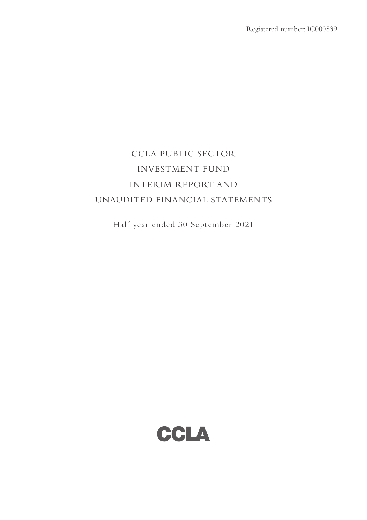# CCLA PUBLIC SECTOR INVESTMENT FUND INTERIM REPORT AND UNAUDITED FINANCIAL STATEMENTS

Half year ended 30 September 2021

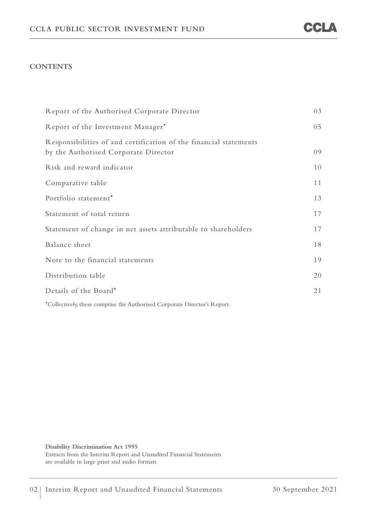#### **CONTENTS**

| Report of the Authorised Corporate Director                                                               | 03 |
|-----------------------------------------------------------------------------------------------------------|----|
| Report of the Investment Manager*                                                                         | 05 |
| Responsibilities of and certification of the financial statements<br>by the Authorised Corporate Director | 09 |
| Risk and reward indicator                                                                                 | 10 |
| Comparative table                                                                                         | 11 |
| Portfolio statement*                                                                                      | 13 |
| Statement of total return                                                                                 | 17 |
| Statement of change in net assets attributable to shareholders                                            | 17 |
| Balance sheet                                                                                             | 18 |
| Note to the financial statements                                                                          | 19 |
| Distribution table                                                                                        | 20 |
| Details of the Board*                                                                                     | 21 |
|                                                                                                           |    |

\*Collectively, these comprise the Authorised Corporate Director's Report.

**Disability Discrimination Act 1995**  Extracts from the Interim Report and Unaudited Financial Statements are available in large print and audio formats.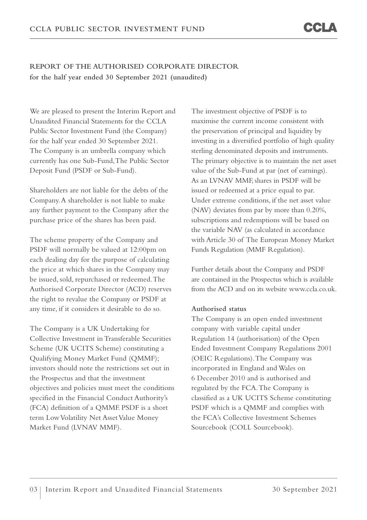## **REPORT OF THE AUTHORISED CORPORATE DIRECTOR for the half year ended 30 September 2021 (unaudited)**

We are pleased to present the Interim Report and Unaudited Financial Statements for the CCLA Public Sector Investment Fund (the Company) for the half year ended 30 September 2021. The Company is an umbrella company which currently has one Sub-Fund, The Public Sector Deposit Fund (PSDF or Sub-Fund).

Shareholders are not liable for the debts of the Company. A shareholder is not liable to make any further payment to the Company after the purchase price of the shares has been paid.

The scheme property of the Company and PSDF will normally be valued at 12:00pm on each dealing day for the purpose of calculating the price at which shares in the Company may be issued, sold, repurchased or redeemed. The Authorised Corporate Director (ACD) reserves the right to revalue the Company or PSDF at any time, if it considers it desirable to do so.

The Company is a UK Undertaking for Collective Investment in Transferable Securities Scheme (UK UCITS Scheme) constituting a Qualifying Money Market Fund (QMMF); investors should note the restrictions set out in the Prospectus and that the investment objectives and policies must meet the conditions specified in the Financial Conduct Authority's (FCA) definition of a QMMF. PSDF is a short term Low Volatility Net Asset Value Money Market Fund (LVNAV MMF).

The investment objective of PSDF is to maximise the current income consistent with the preservation of principal and liquidity by investing in a diversified portfolio of high quality sterling denominated deposits and instruments. The primary objective is to maintain the net asset value of the Sub-Fund at par (net of earnings). As an LVNAV MMF, shares in PSDF will be issued or redeemed at a price equal to par. Under extreme conditions, if the net asset value (NAV) deviates from par by more than 0.20%, subscriptions and redemptions will be based on the variable NAV (as calculated in accordance with Article 30 of The European Money Market Funds Regulation (MMF Regulation).

Further details about the Company and PSDF are contained in the Prospectus which is available from the ACD and on its website www.ccla.co.uk.

#### **Authorised status**

The Company is an open ended investment company with variable capital under Regulation 14 (authorisation) of the Open Ended Investment Company Regulations 2001 (OEIC Regulations). The Company was incorporated in England and Wales on 6 December 2010 and is authorised and regulated by the FCA. The Company is classified as a UK UCITS Scheme constituting PSDF which is a QMMF and complies with the FCA's Collective Investment Schemes Sourcebook (COLL Sourcebook).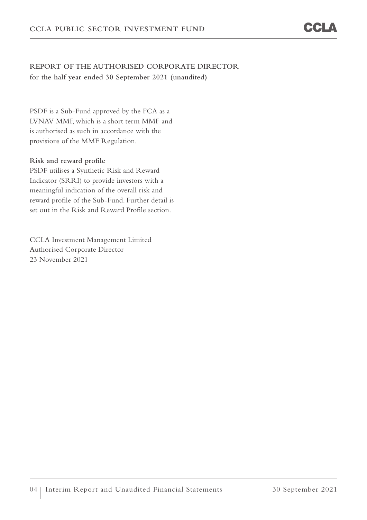## **REPORT OF THE AUTHORISED CORPORATE DIRECTOR for the half year ended 30 September 2021 (unaudited)**

PSDF is a Sub-Fund approved by the FCA as a LVNAV MMF, which is a short term MMF and is authorised as such in accordance with the provisions of the MMF Regulation.

### **Risk and reward profile**

PSDF utilises a Synthetic Risk and Reward Indicator (SRRI) to provide investors with a meaningful indication of the overall risk and reward profile of the Sub-Fund. Further detail is set out in the Risk and Reward Profile section.

CCLA Investment Management Limited Authorised Corporate Director 23 November 2021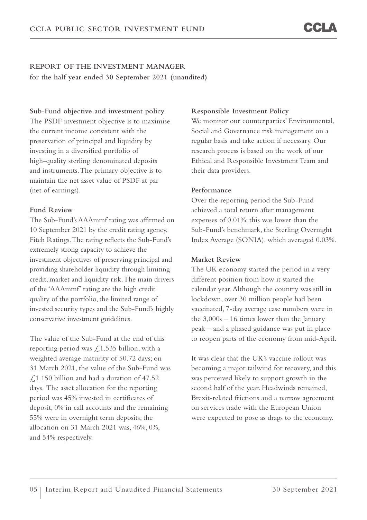**Sub-Fund objective and investment policy**  The PSDF investment objective is to maximise the current income consistent with the preservation of principal and liquidity by investing in a diversified portfolio of high-quality sterling denominated deposits and instruments. The primary objective is to maintain the net asset value of PSDF at par (net of earnings).

#### **Fund Review**

The Sub-Fund's AAAmmf rating was affirmed on 10 September 2021 by the credit rating agency, Fitch Ratings. The rating reflects the Sub-Fund's extremely strong capacity to achieve the investment objectives of preserving principal and providing shareholder liquidity through limiting credit, market and liquidity risk. The main drivers of the 'AAAmmf' rating are the high credit quality of the portfolio, the limited range of invested security types and the Sub-Fund's highly conservative investment guidelines.

The value of the Sub-Fund at the end of this reporting period was  $\sqrt{2}$ , 1.535 billion, with a weighted average maturity of 50.72 days; on 31 March 2021, the value of the Sub-Fund was £1.150 billion and had a duration of 47.52 days. The asset allocation for the reporting period was 45% invested in certificates of deposit, 0% in call accounts and the remaining 55% were in overnight term deposits; the allocation on 31 March 2021 was, 46%, 0%, and 54% respectively.

#### **Responsible Investment Policy**

We monitor our counterparties' Environmental, Social and Governance risk management on a regular basis and take action if necessary. Our research process is based on the work of our Ethical and Responsible Investment Team and their data providers.

#### **Performance**

Over the reporting period the Sub-Fund achieved a total return after management expenses of 0.01%; this was lower than the Sub-Fund's benchmark, the Sterling Overnight Index Average (SONIA), which averaged 0.03%.

#### **Market Review**

The UK economy started the period in a very different position from how it started the calendar year. Although the country was still in lockdown, over 30 million people had been vaccinated, 7-day average case numbers were in the 3,000s – 16 times lower than the January peak – and a phased guidance was put in place to reopen parts of the economy from mid-April.

It was clear that the UK's vaccine rollout was becoming a major tailwind for recovery, and this was perceived likely to support growth in the second half of the year. Headwinds remained, Brexit-related frictions and a narrow agreement on services trade with the European Union were expected to pose as drags to the economy.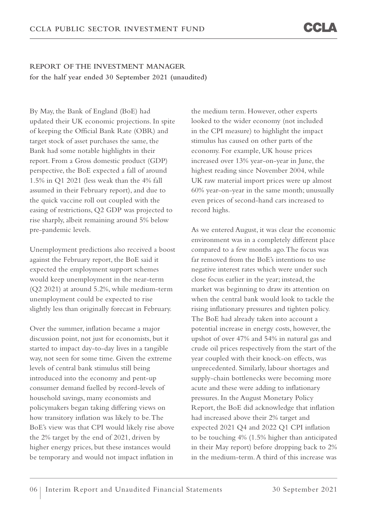By May, the Bank of England (BoE) had updated their UK economic projections. In spite of keeping the Official Bank Rate (OBR) and target stock of asset purchases the same, the Bank had some notable highlights in their report. From a Gross domestic product (GDP) perspective, the BoE expected a fall of around 1.5% in Q1 2021 (less weak than the 4% fall assumed in their February report), and due to the quick vaccine roll out coupled with the easing of restrictions, Q2 GDP was projected to rise sharply, albeit remaining around 5% below pre-pandemic levels.

Unemployment predictions also received a boost against the February report, the BoE said it expected the employment support schemes would keep unemployment in the near-term (Q2 2021) at around 5.2%, while medium-term unemployment could be expected to rise slightly less than originally forecast in February.

Over the summer, inflation became a major discussion point, not just for economists, but it started to impact day-to-day lives in a tangible way, not seen for some time. Given the extreme levels of central bank stimulus still being introduced into the economy and pent-up consumer demand fuelled by record-levels of household savings, many economists and policymakers began taking differing views on how transitory inflation was likely to be. The BoE's view was that CPI would likely rise above the 2% target by the end of 2021, driven by higher energy prices, but these instances would be temporary and would not impact inflation in

the medium term. However, other experts looked to the wider economy (not included in the CPI measure) to highlight the impact stimulus has caused on other parts of the economy. For example, UK house prices increased over 13% year-on-year in June, the highest reading since November 2004, while UK raw material import prices were up almost 60% year-on-year in the same month; unusually even prices of second-hand cars increased to record highs.

As we entered August, it was clear the economic environment was in a completely different place compared to a few months ago. The focus was far removed from the BoE's intentions to use negative interest rates which were under such close focus earlier in the year; instead, the market was beginning to draw its attention on when the central bank would look to tackle the rising inflationary pressures and tighten policy. The BoE had already taken into account a potential increase in energy costs, however, the upshot of over 47% and 54% in natural gas and crude oil prices respectively from the start of the year coupled with their knock-on effects, was unprecedented. Similarly, labour shortages and supply-chain bottlenecks were becoming more acute and these were adding to inflationary pressures. In the August Monetary Policy Report, the BoE did acknowledge that inflation had increased above their 2% target and expected 2021 Q4 and 2022 Q1 CPI inflation to be touching 4% (1.5% higher than anticipated in their May report) before dropping back to 2% in the medium-term. A third of this increase was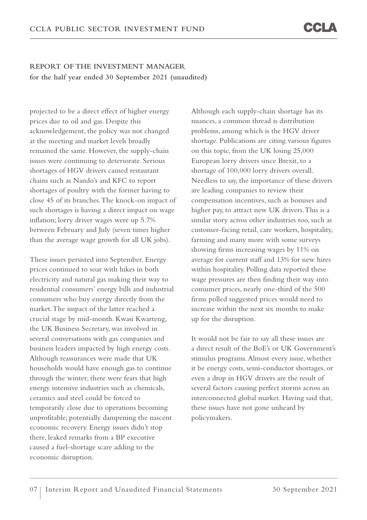projected to be a direct effect of higher energy prices due to oil and gas. Despite this acknowledgement, the policy was not changed at the meeting and market levels broadly remained the same. However, the supply-chain issues were continuing to deteriorate. Serious shortages of HGV drivers caused restaurant chains such as Nando's and KFC to report shortages of poultry with the former having to close 45 of its branches. The knock-on impact of such shortages is having a direct impact on wage inflation; lorry driver wages were up 5.7% between February and July (seven times higher than the average wage growth for all UK jobs).

These issues persisted into September. Energy prices continued to soar with hikes in both electricity and natural gas making their way to residential consumers' energy bills and industrial consumers who buy energy directly from the market. The impact of the latter reached a crucial stage by mid-month. Kwasi Kwarteng, the UK Business Secretary, was involved in several conversations with gas companies and business leaders impacted by high energy costs. Although reassurances were made that UK households would have enough gas to continue through the winter; there were fears that high energy intensive industries such as chemicals, ceramics and steel could be forced to temporarily close due to operations becoming unprofitable; potentially dampening the nascent economic recovery. Energy issues didn't stop there, leaked remarks from a BP executive caused a fuel-shortage scare adding to the economic disruption.

Although each supply-chain shortage has its nuances, a common thread is distribution problems, among which is the HGV driver shortage. Publications are citing various figures on this topic, from the UK losing 25,000 European lorry drivers since Brexit, to a shortage of 100,000 lorry drivers overall. Needless to say, the importance of these drivers are leading companies to review their compensation incentives, such as bonuses and higher pay, to attract new UK drivers. This is a similar story across other industries too, such as customer-facing retail, care workers, hospitality, farming and many more with some surveys showing firms increasing wages by 11% on average for current staff and 13% for new hires within hospitality. Polling data reported these wage pressures are then finding their way into consumer prices, nearly one-third of the 500 firms polled suggested prices would need to increase within the next six months to make up for the disruption.

It would not be fair to say all these issues are a direct result of the BoE's or UK Government's stimulus programs. Almost every issue, whether it be energy costs, semi-conductor shortages, or even a drop in HGV drivers are the result of several factors causing perfect storms across an interconnected global market. Having said that, these issues have not gone unheard by policymakers.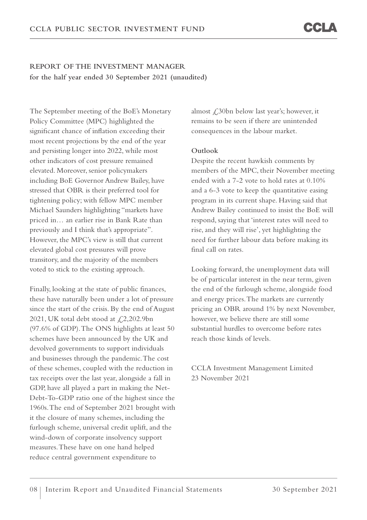The September meeting of the BoE's Monetary Policy Committee (MPC) highlighted the significant chance of inflation exceeding their most recent projections by the end of the year and persisting longer into 2022, while most other indicators of cost pressure remained elevated. Moreover, senior policymakers including BoE Governor Andrew Bailey, have stressed that OBR is their preferred tool for tightening policy; with fellow MPC member Michael Saunders highlighting "markets have priced in… an earlier rise in Bank Rate than previously and I think that's appropriate". However, the MPC's view is still that current elevated global cost pressures will prove transitory, and the majority of the members voted to stick to the existing approach.

Finally, looking at the state of public finances, these have naturally been under a lot of pressure since the start of the crisis. By the end of August 2021, UK total debt stood at  $\text{\textsterling}2,202.9\text{bn}$ (97.6% of GDP). The ONS highlights at least 50 schemes have been announced by the UK and devolved governments to support individuals and businesses through the pandemic. The cost of these schemes, coupled with the reduction in tax receipts over the last year, alongside a fall in GDP, have all played a part in making the Net-Debt-To-GDP ratio one of the highest since the 1960s. The end of September 2021 brought with it the closure of many schemes, including the furlough scheme, universal credit uplift, and the wind-down of corporate insolvency support measures. These have on one hand helped reduce central government expenditure to

almost £30bn below last year's; however, it remains to be seen if there are unintended consequences in the labour market.

#### **Outlook**

Despite the recent hawkish comments by members of the MPC, their November meeting ended with a 7-2 vote to hold rates at 0.10% and a 6-3 vote to keep the quantitative easing program in its current shape. Having said that Andrew Bailey continued to insist the BoE will respond, saying that 'interest rates will need to rise, and they will rise', yet highlighting the need for further labour data before making its final call on rates.

Looking forward, the unemployment data will be of particular interest in the near term, given the end of the furlough scheme, alongside food and energy prices. The markets are currently pricing an OBR around 1% by next November, however, we believe there are still some substantial hurdles to overcome before rates reach those kinds of levels.

CCLA Investment Management Limited 23 November 2021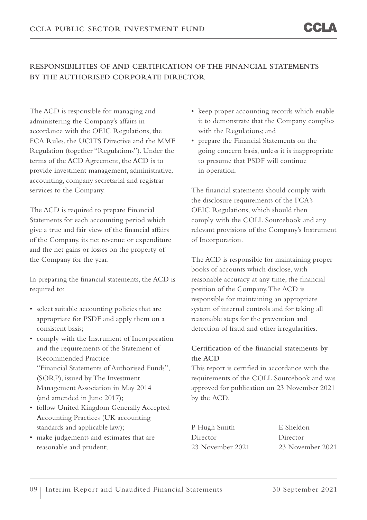## **RESPONSIBILITIES OF AND CERTIFICATION OF THE FINANCIAL STATEMENTS BY THE AUTHORISED CORPORATE DIRECTOR**

The ACD is responsible for managing and administering the Company's affairs in accordance with the OEIC Regulations, the FCA Rules, the UCITS Directive and the MMF Regulation (together "Regulations"). Under the terms of the ACD Agreement, the ACD is to provide investment management, administrative, accounting, company secretarial and registrar services to the Company.

The ACD is required to prepare Financial Statements for each accounting period which give a true and fair view of the financial affairs of the Company, its net revenue or expenditure and the net gains or losses on the property of the Company for the year.

In preparing the financial statements, the ACD is required to:

- select suitable accounting policies that are appropriate for PSDF and apply them on a consistent basis;
- comply with the Instrument of Incorporation and the requirements of the Statement of Recommended Practice: "Financial Statements of Authorised Funds", (SORP), issued by The Investment Management Association in May 2014 (and amended in June 2017);
- follow United Kingdom Generally Accepted Accounting Practices (UK accounting standards and applicable law);
- make judgements and estimates that are reasonable and prudent;
- keep proper accounting records which enable it to demonstrate that the Company complies with the Regulations; and
- prepare the Financial Statements on the going concern basis, unless it is inappropriate to presume that PSDF will continue in operation.

The financial statements should comply with the disclosure requirements of the FCA's OEIC Regulations, which should then comply with the COLL Sourcebook and any relevant provisions of the Company's Instrument of Incorporation.

The ACD is responsible for maintaining proper books of accounts which disclose, with reasonable accuracy at any time, the financial position of the Company. The ACD is responsible for maintaining an appropriate system of internal controls and for taking all reasonable steps for the prevention and detection of fraud and other irregularities.

## **Certification of the financial statements by the ACD**

This report is certified in accordance with the requirements of the COLL Sourcebook and was approved for publication on 23 November 2021 by the ACD.

| P Hugh Smith     | E Sheldon        |
|------------------|------------------|
| Director         | Director         |
| 23 November 2021 | 23 November 2021 |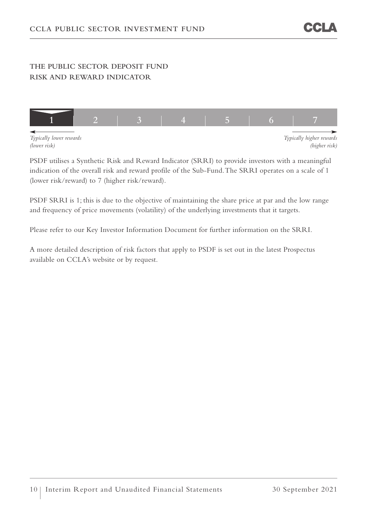## **THE PUBLIC SECTOR DEPOSIT FUND RISK AND REWARD INDICATOR**



PSDF utilises a Synthetic Risk and Reward Indicator (SRRI) to provide investors with a meaningful indication of the overall risk and reward profile of the Sub-Fund. The SRRI operates on a scale of 1 (lower risk/reward) to 7 (higher risk/reward).

PSDF SRRI is 1; this is due to the objective of maintaining the share price at par and the low range and frequency of price movements (volatility) of the underlying investments that it targets.

Please refer to our Key Investor Information Document for further information on the SRRI.

A more detailed description of risk factors that apply to PSDF is set out in the latest Prospectus available on CCLA's website or by request.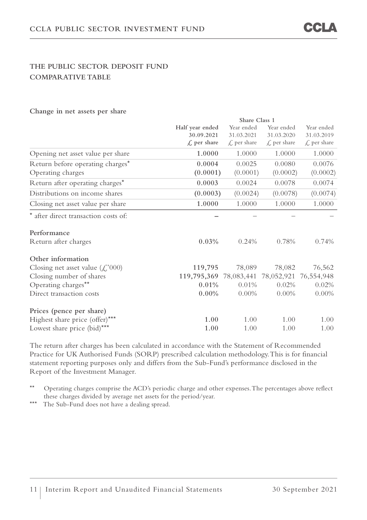## **THE PUBLIC SECTOR DEPOSIT FUND COMPARATIVE TABLE**

#### **Change in net assets per share**

|                                                       |                                   | Share Class 1           |                         |                         |  |  |
|-------------------------------------------------------|-----------------------------------|-------------------------|-------------------------|-------------------------|--|--|
|                                                       | Half year ended                   | Year ended              | Year ended              | Year ended              |  |  |
|                                                       | 30.09.2021                        | 31.03.2021              | 31.03.2020              | 31.03.2019              |  |  |
|                                                       | $\mathcal{L}$ per share           | $\mathcal{L}$ per share | $\mathcal{L}$ per share | $\mathcal{L}$ per share |  |  |
| Opening net asset value per share                     | 1.0000                            | 1.0000                  | 1.0000                  | 1.0000                  |  |  |
| Return before operating charges*                      | 0.0004                            | 0.0025                  | 0.0080                  | 0.0076                  |  |  |
| Operating charges                                     | (0.0001)                          | (0.0001)                | (0.0002)                | (0.0002)                |  |  |
| Return after operating charges*                       | 0.0003                            | 0.0024                  | 0.0078                  | 0.0074                  |  |  |
| Distributions on income shares                        | (0.0003)                          | (0.0024)                | (0.0078)                | (0.0074)                |  |  |
| Closing net asset value per share                     | 1.0000                            | 1.0000                  | 1.0000                  | 1.0000                  |  |  |
| * after direct transaction costs of:                  |                                   |                         |                         |                         |  |  |
| Performance                                           |                                   |                         |                         |                         |  |  |
| Return after charges                                  | $0.03\%$                          | 0.24%                   | 0.78%                   | 0.74%                   |  |  |
| Other information                                     |                                   |                         |                         |                         |  |  |
| Closing net asset value $(\text{\textsterling}, 000)$ | 119,795                           | 78,089                  | 78,082                  | 76,562                  |  |  |
| Closing number of shares                              | 119,795,369 78,083,441 78,052,921 |                         |                         | 76,554,948              |  |  |
| Operating charges**                                   | 0.01%                             | 0.01%                   | 0.02%                   | 0.02%                   |  |  |
| Direct transaction costs                              | $0.00\%$                          | $0.00\%$                | $0.00\%$                | $0.00\%$                |  |  |
| Prices (pence per share)                              |                                   |                         |                         |                         |  |  |
| Highest share price (offer)***                        | 1.00                              | 1.00                    | 1.00                    | 1.00                    |  |  |
| Lowest share price (bid)***                           | 1.00                              | 1.00                    | 1.00                    | 1.00                    |  |  |

The return after charges has been calculated in accordance with the Statement of Recommended Practice for UK Authorised Funds (SORP) prescribed calculation methodology. This is for financial statement reporting purposes only and differs from the Sub-Fund's performance disclosed in the Report of the Investment Manager.

\*\* Operating charges comprise the ACD's periodic charge and other expenses. The percentages above reflect these charges divided by average net assets for the period/year.

\*\*\* The Sub-Fund does not have a dealing spread.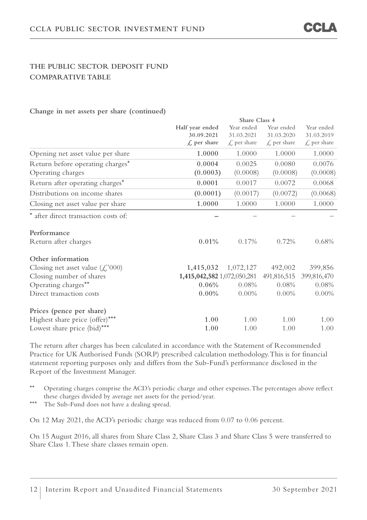## **THE PUBLIC SECTOR DEPOSIT FUND COMPARATIVE TABLE**

#### **Change in net assets per share (continued)**

|                                                       | Share Class 4               |                         |                         |                        |  |
|-------------------------------------------------------|-----------------------------|-------------------------|-------------------------|------------------------|--|
|                                                       | Half year ended             | Year ended              | Year ended              | Year ended             |  |
|                                                       | 30.09.2021                  | 31.03.2021              | 31.03.2020              | 31.03.2019             |  |
|                                                       | $\mathcal{L}$ per share     | $\mathcal{L}$ per share | $\mathcal{L}$ per share | $\mathcal L$ per share |  |
| Opening net asset value per share                     | 1.0000                      | 1.0000                  | 1.0000                  | 1.0000                 |  |
| Return before operating charges*                      | 0.0004                      | 0.0025                  | 0.0080                  | 0.0076                 |  |
| Operating charges                                     | (0.0003)                    | (0.0008)                | (0.0008)                | (0.0008)               |  |
| Return after operating charges*                       | 0.0001                      | 0.0017                  | 0.0072                  | 0.0068                 |  |
| Distributions on income shares                        | (0.0001)                    | (0.0017)                | (0.0072)                | (0.0068)               |  |
| Closing net asset value per share                     | 1.0000                      | 1.0000                  | 1.0000                  | 1.0000                 |  |
| * after direct transaction costs of:                  |                             |                         |                         |                        |  |
| Performance                                           |                             |                         |                         |                        |  |
| Return after charges                                  | 0.01%                       | 0.17%                   | 0.72%                   | 0.68%                  |  |
| Other information                                     |                             |                         |                         |                        |  |
| Closing net asset value $(\text{\textsterling}, 000)$ | 1,415,032                   | 1,072,127               | 492,002                 | 399,856                |  |
| Closing number of shares                              | 1,415,042,582 1,072,050,281 |                         | 491,816,515             | 399,816,470            |  |
| Operating charges**                                   | 0.06%                       | 0.08%                   | 0.08%                   | 0.08%                  |  |
| Direct transaction costs                              | $0.00\%$                    | $0.00\%$                | $0.00\%$                | $0.00\%$               |  |
| Prices (pence per share)                              |                             |                         |                         |                        |  |
| Highest share price (offer)***                        | 1.00                        | 1.00                    | 1.00                    | 1.00                   |  |
| Lowest share price (bid)***                           | 1.00                        | 1.00                    | 1.00                    | 1.00                   |  |

The return after charges has been calculated in accordance with the Statement of Recommended Practice for UK Authorised Funds (SORP) prescribed calculation methodology. This is for financial statement reporting purposes only and differs from the Sub-Fund's performance disclosed in the Report of the Investment Manager.

\*\* Operating charges comprise the ACD's periodic charge and other expenses. The percentages above reflect these charges divided by average net assets for the period/year.

\*\*\* The Sub-Fund does not have a dealing spread.

On 12 May 2021, the ACD's periodic charge was reduced from 0.07 to 0.06 percent.

On 15 August 2016, all shares from Share Class 2, Share Class 3 and Share Class 5 were transferred to Share Class 1. These share classes remain open.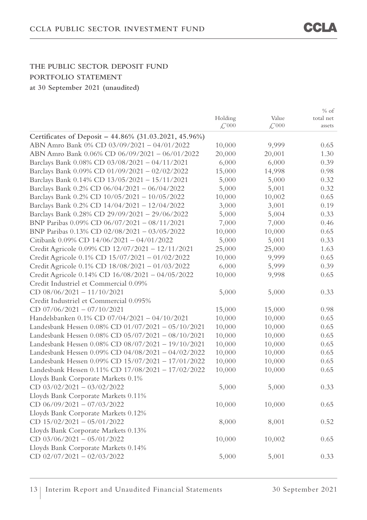|                                                       |                    |                    | $%$ of    |
|-------------------------------------------------------|--------------------|--------------------|-----------|
|                                                       | Holding            | Value              | total net |
|                                                       | $\mathcal{L}^2000$ | $\mathcal{L}^2000$ | assets    |
| Certificates of Deposit - 44.86% (31.03.2021, 45.96%) |                    |                    |           |
| ABN Amro Bank 0% CD 03/09/2021 - 04/01/2022           | 10,000             | 9,999              | 0.65      |
| ABN Amro Bank 0.06% CD 06/09/2021 - 06/01/2022        | 20,000             | 20,001             | 1.30      |
| Barclays Bank 0.08% CD 03/08/2021 - 04/11/2021        | 6,000              | 6,000              | 0.39      |
| Barclays Bank 0.09% CD 01/09/2021 - 02/02/2022        | 15,000             | 14,998             | 0.98      |
| Barclays Bank 0.14% CD 13/05/2021 - 15/11/2021        | 5,000              | 5,000              | 0.32      |
| Barclays Bank 0.2% CD 06/04/2021 - 06/04/2022         | 5,000              | 5,001              | 0.32      |
| Barclays Bank 0.2% CD 10/05/2021 - 10/05/2022         | 10,000             | 10,002             | 0.65      |
| Barclays Bank 0.2% CD 14/04/2021 - 12/04/2022         | 3,000              | 3,001              | 0.19      |
| Barclays Bank 0.28% CD 29/09/2021 - 29/06/2022        | 5,000              | 5,004              | 0.33      |
| BNP Paribas 0.09% CD 06/07/2021 - 08/11/2021          | 7,000              | 7,000              | 0.46      |
| BNP Paribas 0.13% CD 02/08/2021 - 03/05/2022          | 10,000             | 10,000             | 0.65      |
| Citibank 0.09% CD 14/06/2021 - 04/01/2022             | 5,000              | 5,001              | 0.33      |
| Credit Agricole 0.09% CD 12/07/2021 - 12/11/2021      | 25,000             | 25,000             | 1.63      |
| Credit Agricole 0.1% CD 15/07/2021 - 01/02/2022       | 10,000             | 9,999              | 0.65      |
| Credit Agricole 0.1% CD 18/08/2021 - 01/03/2022       | 6,000              | 5,999              | 0.39      |
| Credit Agricole 0.14% CD 16/08/2021 - 04/05/2022      | 10,000             | 9,998              | 0.65      |
| Credit Industriel et Commercial 0.09%                 |                    |                    |           |
| CD $08/06/2021 - 11/10/2021$                          | 5,000              | 5,000              | 0.33      |
| Credit Industriel et Commercial 0.095%                |                    |                    |           |
| CD $07/06/2021 - 07/10/2021$                          | 15,000             | 15,000             | 0.98      |
| Handelsbanken 0.1% CD 07/04/2021 - 04/10/2021         | 10,000             | 10,000             | 0.65      |
| Landesbank Hessen 0.08% CD 01/07/2021 - 05/10/2021    | 10,000             | 10,000             | 0.65      |
| Landesbank Hessen 0.08% CD 05/07/2021 - 08/10/2021    | 10,000             | 10,000             | 0.65      |
| Landesbank Hessen 0.08% CD 08/07/2021 - 19/10/2021    | 10,000             | 10,000             | 0.65      |
| Landesbank Hessen 0.09% CD 04/08/2021 - 04/02/2022    | 10,000             | 10,000             | 0.65      |
| Landesbank Hessen 0.09% CD 15/07/2021 - 17/01/2022    | 10,000             | 10,000             | 0.65      |
| Landesbank Hessen 0.11% CD 17/08/2021 - 17/02/2022    | 10,000             | 10,000             | 0.65      |
| Lloyds Bank Corporate Markets 0.1%                    |                    |                    |           |
| CD $03/02/2021 - 03/02/2022$                          | 5,000              | 5,000              | 0.33      |
| Lloyds Bank Corporate Markets 0.11%                   |                    |                    |           |
| CD $06/09/2021 - 07/03/2022$                          | 10,000             | 10,000             | 0.65      |
| Lloyds Bank Corporate Markets 0.12%                   |                    |                    |           |
| CD $15/02/2021 - 05/01/2022$                          | 8,000              | 8,001              | 0.52      |
| Lloyds Bank Corporate Markets 0.13%                   |                    |                    |           |
| CD $03/06/2021 - 05/01/2022$                          | 10,000             | 10,002             | 0.65      |
| Lloyds Bank Corporate Markets 0.14%                   |                    |                    |           |
| CD 02/07/2021 - 02/03/2022                            | 5,000              | 5,001              | 0.33      |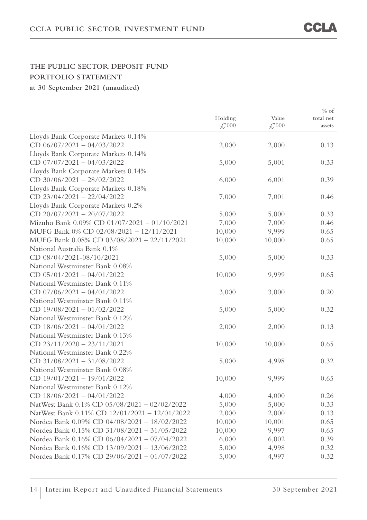% of

|                                               |              |                    | $\%$ of   |
|-----------------------------------------------|--------------|--------------------|-----------|
|                                               | Holding      | Value              | total net |
|                                               | $\angle 000$ | $\mathcal{L}^2000$ | assets    |
| Lloyds Bank Corporate Markets 0.14%           |              |                    |           |
| CD $06/07/2021 - 04/03/2022$                  | 2,000        | 2,000              | 0.13      |
| Lloyds Bank Corporate Markets 0.14%           |              |                    |           |
| CD $07/07/2021 - 04/03/2022$                  | 5,000        | 5,001              | 0.33      |
| Lloyds Bank Corporate Markets 0.14%           |              |                    |           |
| CD $30/06/2021 - 28/02/2022$                  | 6,000        | 6,001              | 0.39      |
| Lloyds Bank Corporate Markets 0.18%           |              |                    |           |
| CD $23/04/2021 - 22/04/2022$                  | 7,000        | 7,001              | 0.46      |
| Lloyds Bank Corporate Markets 0.2%            |              |                    |           |
| CD $20/07/2021 - 20/07/2022$                  | 5,000        | 5,000              | 0.33      |
| Mizuho Bank 0.09% CD 01/07/2021 - 01/10/2021  | 7,000        | 7,000              | 0.46      |
| MUFG Bank 0% CD 02/08/2021 - 12/11/2021       | 10,000       | 9,999              | 0.65      |
| MUFG Bank 0.08% CD 03/08/2021 - 22/11/2021    | 10,000       | 10,000             | 0.65      |
| National Australia Bank 0.1%                  |              |                    |           |
| CD 08/04/2021-08/10/2021                      | 5,000        | 5,000              | 0.33      |
| National Westminster Bank 0.08%               |              |                    |           |
| $CD$ 05/01/2021 - 04/01/2022                  | 10,000       | 9,999              | 0.65      |
| National Westminster Bank 0.11%               |              |                    |           |
| CD $07/06/2021 - 04/01/2022$                  | 3,000        | 3,000              | 0.20      |
| National Westminster Bank 0.11%               |              |                    |           |
| CD $19/08/2021 - 01/02/2022$                  | 5,000        | 5,000              | 0.32      |
| National Westminster Bank 0.12%               |              |                    |           |
| CD $18/06/2021 - 04/01/2022$                  | 2,000        | 2,000              | 0.13      |
| National Westminster Bank 0.13%               |              |                    |           |
| CD $23/11/2020 - 23/11/2021$                  | 10,000       | 10,000             | 0.65      |
| National Westminster Bank 0.22%               |              |                    |           |
| CD $31/08/2021 - 31/08/2022$                  | 5,000        | 4,998              | 0.32      |
| National Westminster Bank 0.08%               |              |                    |           |
| CD 19/01/2021 - 19/01/2022                    | 10,000       | 9,999              | 0.65      |
| National Westminster Bank 0.12%               |              |                    |           |
| CD $18/06/2021 - 04/01/2022$                  | 4,000        | 4,000              | 0.26      |
| NatWest Bank 0.1% CD 05/08/2021 - 02/02/2022  | 5,000        | 5,000              | 0.33      |
| NatWest Bank 0.11% CD 12/01/2021 - 12/01/2022 | 2,000        | 2,000              | 0.13      |
| Nordea Bank 0.09% CD 04/08/2021 - 18/02/2022  | 10,000       | 10,001             | 0.65      |
| Nordea Bank 0.15% CD 31/08/2021 - 31/05/2022  | 10,000       | 9,997              | 0.65      |
| Nordea Bank 0.16% CD 06/04/2021 - 07/04/2022  | 6,000        | 6,002              | 0.39      |
| Nordea Bank 0.16% CD 13/09/2021 - 13/06/2022  | 5,000        | 4,998              | 0.32      |
| Nordea Bank 0.17% CD 29/06/2021 - 01/07/2022  | 5,000        | 4,997              | 0.32      |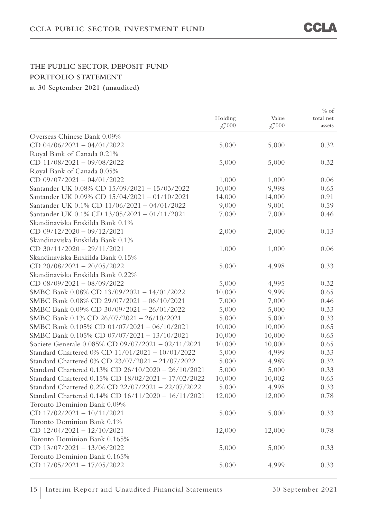|                                                     |                    |                    | $%$ of    |
|-----------------------------------------------------|--------------------|--------------------|-----------|
|                                                     | Holding            | Value              | total net |
|                                                     | $\mathcal{L}^2000$ | $\mathcal{L}^2000$ | assets    |
| Overseas Chinese Bank 0.09%                         |                    |                    |           |
| CD $04/06/2021 - 04/01/2022$                        | 5,000              | 5,000              | 0.32      |
| Royal Bank of Canada 0.21%                          |                    |                    |           |
| CD 11/08/2021 - 09/08/2022                          | 5,000              | 5,000              | 0.32      |
| Royal Bank of Canada 0.05%                          |                    |                    |           |
| CD 09/07/2021 - 04/01/2022                          | 1,000              | 1,000              | 0.06      |
| Santander UK 0.08% CD 15/09/2021 - 15/03/2022       | 10,000             | 9,998              | 0.65      |
| Santander UK 0.09% CD 15/04/2021 - 01/10/2021       | 14,000             | 14,000             | 0.91      |
| Santander UK 0.1% CD 11/06/2021 - 04/01/2022        | 9,000              | 9,001              | 0.59      |
| Santander UK 0.1% CD 13/05/2021 - 01/11/2021        | 7,000              | 7,000              | 0.46      |
| Skandinaviska Enskilda Bank 0.1%                    |                    |                    |           |
| CD $09/12/2020 - 09/12/2021$                        | 2,000              | 2,000              | 0.13      |
| Skandinaviska Enskilda Bank 0.1%                    |                    |                    |           |
| CD 30/11/2020 - 29/11/2021                          | 1,000              | 1,000              | 0.06      |
| Skandinaviska Enskilda Bank 0.15%                   |                    |                    |           |
| CD $20/08/2021 - 20/05/2022$                        | 5,000              | 4,998              | 0.33      |
| Skandinaviska Enskilda Bank 0.22%                   |                    |                    |           |
| CD $08/09/2021 - 08/09/2022$                        | 5,000              | 4,995              | 0.32      |
| SMBC Bank 0.08% CD 13/09/2021 - 14/01/2022          | 10,000             | 9,999              | 0.65      |
| SMBC Bank 0.08% CD 29/07/2021 - 06/10/2021          | 7,000              | 7,000              | 0.46      |
| SMBC Bank 0.09% CD 30/09/2021 - 26/01/2022          | 5,000              | 5,000              | 0.33      |
| SMBC Bank 0.1% CD 26/07/2021 - 26/10/2021           | 5,000              | 5,000              | 0.33      |
| SMBC Bank 0.105% CD 01/07/2021 - 06/10/2021         | 10,000             | 10,000             | 0.65      |
| SMBC Bank 0.105% CD 07/07/2021 - 13/10/2021         | 10,000             | 10,000             | 0.65      |
| Societe Generale 0.085% CD 09/07/2021 - 02/11/2021  | 10,000             | 10,000             | 0.65      |
| Standard Chartered 0% CD 11/01/2021 - 10/01/2022    | 5,000              | 4,999              | 0.33      |
| Standard Chartered 0% CD 23/07/2021 - 21/07/2022    | 5,000              | 4,989              | 0.32      |
| Standard Chartered 0.13% CD 26/10/2020 - 26/10/2021 | 5,000              | 5,000              | 0.33      |
| Standard Chartered 0.15% CD 18/02/2021 - 17/02/2022 | 10,000             | 10,002             | 0.65      |
| Standard Chartered 0.2% CD 22/07/2021 - 22/07/2022  | 5,000              | 4,998              | 0.33      |
| Standard Chartered 0.14% CD 16/11/2020 - 16/11/2021 | 12,000             | 12,000             | 0.78      |
| Toronto Dominion Bank 0.09%                         |                    |                    |           |
| CD $17/02/2021 - 10/11/2021$                        | 5,000              | 5,000              | 0.33      |
| Toronto Dominion Bank 0.1%                          |                    |                    |           |
| CD 12/04/2021 - 12/10/2021                          | 12,000             | 12,000             | 0.78      |
| Toronto Dominion Bank 0.165%                        |                    |                    |           |
| CD 13/07/2021 - 13/06/2022                          | 5,000              | 5,000              | 0.33      |
| Toronto Dominion Bank 0.165%                        |                    |                    |           |
| CD $17/05/2021 - 17/05/2022$                        | 5,000              | 4,999              | 0.33      |
|                                                     |                    |                    |           |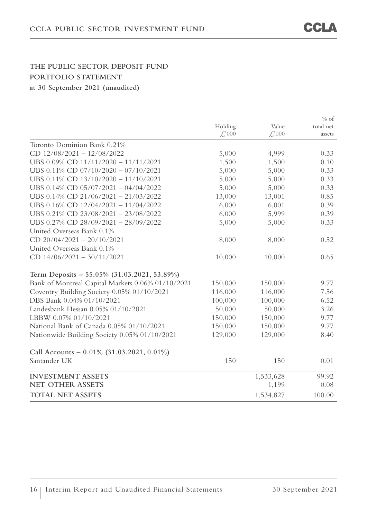|                                                   |                    |                    | $%$ of    |
|---------------------------------------------------|--------------------|--------------------|-----------|
|                                                   | Holding            | Value              | total net |
|                                                   | $\mathcal{L}^2000$ | $\mathcal{L}^2000$ | assets    |
| Toronto Dominion Bank 0.21%                       |                    |                    |           |
| CD $12/08/2021 - 12/08/2022$                      | 5,000              | 4,999              | 0.33      |
| UBS 0.09% CD 11/11/2020 - 11/11/2021              | 1,500              | 1,500              | 0.10      |
| UBS 0.11% CD 07/10/2020 - 07/10/2021              | 5,000              | 5,000              | 0.33      |
| UBS 0.11% CD 13/10/2020 - 11/10/2021              | 5,000              | 5,000              | 0.33      |
| UBS 0.14% CD 05/07/2021 - 04/04/2022              | 5,000              | 5,000              | 0.33      |
| UBS 0.14% CD 21/06/2021 - 21/03/2022              | 13,000             | 13,001             | 0.85      |
| UBS 0.16% CD 12/04/2021 - 11/04/2022              | 6,000              | 6,001              | 0.39      |
| UBS 0.21% CD 23/08/2021 - 23/08/2022              | 6,000              | 5,999              | 0.39      |
| UBS 0.27% CD 28/09/2021 - 28/09/2022              | 5,000              | 5,000              | 0.33      |
| United Overseas Bank 0.1%                         |                    |                    |           |
| CD $20/04/2021 - 20/10/2021$                      | 8,000              | 8,000              | 0.52      |
| United Overseas Bank 0.1%                         |                    |                    |           |
| CD $14/06/2021 - 30/11/2021$                      | 10,000             | 10,000             | 0.65      |
| Term Deposits - 55.05% (31.03.2021, 53.89%)       |                    |                    |           |
| Bank of Montreal Capital Markets 0.06% 01/10/2021 | 150,000            | 150,000            | 9.77      |
| Coventry Building Society 0.05% 01/10/2021        | 116,000            | 116,000            | 7.56      |
| DBS Bank 0.04% 01/10/2021                         | 100,000            | 100,000            | 6.52      |
| Landesbank Hessan 0.05% 01/10/2021                | 50,000             | 50,000             | 3.26      |
| LBBW 0.07% 01/10/2021                             | 150,000            | 150,000            | 9.77      |
| National Bank of Canada 0.05% 01/10/2021          | 150,000            | 150,000            | 9.77      |
| Nationwide Building Society 0.05% 01/10/2021      | 129,000            | 129,000            | 8.40      |
| Call Accounts - $0.01\%$ (31.03.2021, 0.01%)      |                    |                    |           |
| Santander UK                                      | 150                | 150                | 0.01      |
| <b>INVESTMENT ASSETS</b>                          |                    | 1,533,628          | 99.92     |
| <b>NET OTHER ASSETS</b>                           |                    | 1,199              | 0.08      |
| <b>TOTAL NET ASSETS</b>                           |                    | 1,534,827          | 100.00    |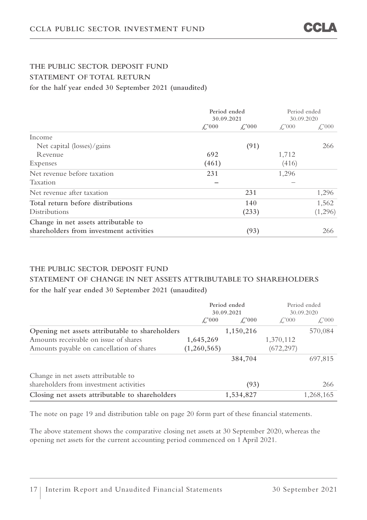## **THE PUBLIC SECTOR DEPOSIT FUND STATEMENT OF TOTAL RETURN for the half year ended 30 September 2021 (unaudited)**

|                                         | Period ended<br>30.09.2021 |                     | Period ended<br>30.09.2020 |              |
|-----------------------------------------|----------------------------|---------------------|----------------------------|--------------|
|                                         | $\angle 000$               | $\mathcal{L}^{000}$ | $\angle$ '000              | $\angle 000$ |
| Income                                  |                            |                     |                            |              |
| Net capital (losses)/gains              |                            | (91)                |                            | 266          |
| Revenue                                 | 692                        |                     | 1,712                      |              |
| Expenses                                | (461)                      |                     | (416)                      |              |
| Net revenue before taxation             | 231                        |                     | 1,296                      |              |
| Taxation                                |                            |                     |                            |              |
| Net revenue after taxation              |                            | 231                 |                            | 1,296        |
| Total return before distributions       |                            | 140                 |                            | 1,562        |
| Distributions                           |                            | (233)               |                            | (1,296)      |
| Change in net assets attributable to    |                            |                     |                            |              |
| shareholders from investment activities |                            | (93)                |                            | 266          |

## **THE PUBLIC SECTOR DEPOSIT FUND**

## **STATEMENT OF CHANGE IN NET ASSETS ATTRIBUTABLE TO SHAREHOLDERS for the half year ended 30 September 2021 (unaudited)**

|                                                 | Period ended<br>30.09.2021 |               | Period ended<br>30.09.2020 |              |
|-------------------------------------------------|----------------------------|---------------|----------------------------|--------------|
|                                                 | $\angle$ :000              | $\angle$ '000 | $\angle$ '000              | $\angle 000$ |
| Opening net assets attributable to shareholders |                            | 1,150,216     |                            | 570,084      |
| Amounts receivable on issue of shares           | 1,645,269                  |               | 1,370,112                  |              |
| Amounts payable on cancellation of shares       | (1,260,565)                |               | (672, 297)                 |              |
|                                                 |                            | 384,704       |                            | 697,815      |
| Change in net assets attributable to            |                            |               |                            |              |
| shareholders from investment activities         |                            | (93)          |                            | 266          |
| Closing net assets attributable to shareholders |                            | 1,534,827     |                            | 1,268,165    |

The note on page 19 and distribution table on page 20 form part of these financial statements.

The above statement shows the comparative closing net assets at 30 September 2020, whereas the opening net assets for the current accounting period commenced on 1 April 2021.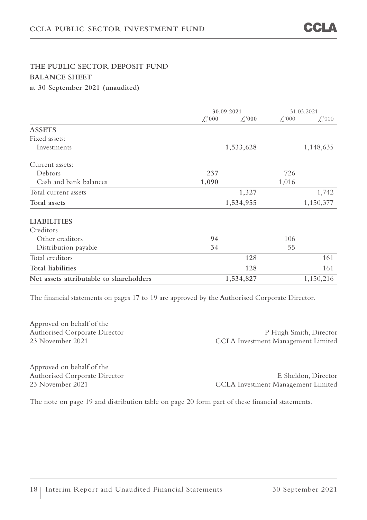## **THE PUBLIC SECTOR DEPOSIT FUND BALANCE SHEET at 30 September 2021 (unaudited)**

| 30.09.2021<br>$\mathcal{L}^2000$<br>1,533,628 | $\mathcal{L}^2000$ | 31.03.2021<br>$\mathcal{L}^2000$<br>1,148,635 |
|-----------------------------------------------|--------------------|-----------------------------------------------|
|                                               |                    |                                               |
|                                               |                    |                                               |
|                                               |                    |                                               |
|                                               |                    |                                               |
|                                               |                    |                                               |
|                                               |                    |                                               |
|                                               | 1,016              |                                               |
| 1,327                                         |                    | 1,742                                         |
| 1,534,955                                     |                    | 1,150,377                                     |
|                                               |                    |                                               |
|                                               |                    |                                               |
|                                               | 106                |                                               |
|                                               | 55                 |                                               |
| 128                                           |                    | 161                                           |
| 128                                           |                    | 161                                           |
| 1,534,827                                     |                    | 1,150,216                                     |
|                                               |                    | 726                                           |

The financial statements on pages 17 to 19 are approved by the Authorised Corporate Director.

Approved on behalf of the

Authorised Corporate Director P Hugh Smith, Director 23 November 2021 CCLA Investment Management Limited

Approved on behalf of the

Authorised Corporate Director E Sheldon, Director 23 November 2021 CCLA Investment Management Limited

The note on page 19 and distribution table on page 20 form part of these financial statements.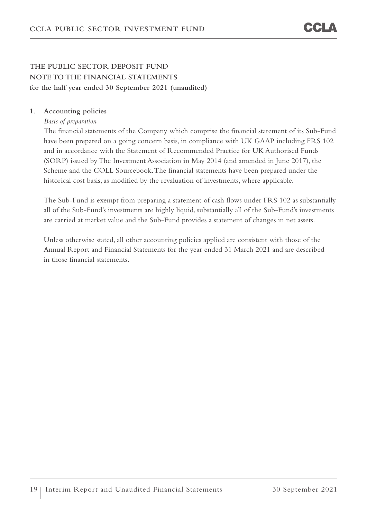## **THE PUBLIC SECTOR DEPOSIT FUND NOTE TO THE FINANCIAL STATEMENTS for the half year ended 30 September 2021 (unaudited)**

#### **1. Accounting policies**

*Basis of preparation* 

The financial statements of the Company which comprise the financial statement of its Sub-Fund have been prepared on a going concern basis, in compliance with UK GAAP including FRS 102 and in accordance with the Statement of Recommended Practice for UK Authorised Funds (SORP) issued by The Investment Association in May 2014 (and amended in June 2017), the Scheme and the COLL Sourcebook. The financial statements have been prepared under the historical cost basis, as modified by the revaluation of investments, where applicable.

The Sub-Fund is exempt from preparing a statement of cash flows under FRS 102 as substantially all of the Sub-Fund's investments are highly liquid, substantially all of the Sub-Fund's investments are carried at market value and the Sub-Fund provides a statement of changes in net assets.

Unless otherwise stated, all other accounting policies applied are consistent with those of the Annual Report and Financial Statements for the year ended 31 March 2021 and are described in those financial statements.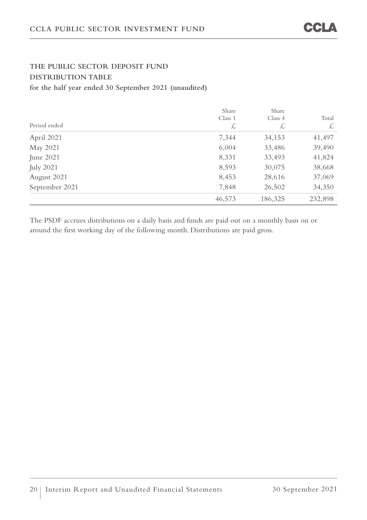## **THE PUBLIC SECTOR DEPOSIT FUND DISTRIBUTION TABLE for the half year ended 30 September 2021 (unaudited)**

| Period ended     | Share<br>Class 1<br>L | Share<br>Class 4<br>L | Total<br>$\frac{1}{2}$ |
|------------------|-----------------------|-----------------------|------------------------|
| April 2021       | 7,344                 | 34,153                | 41,497                 |
| May 2021         | 6,004                 | 33,486                | 39,490                 |
| June $2021$      | 8,331                 | 33,493                | 41,824                 |
| <b>July 2021</b> | 8,593                 | 30,075                | 38,668                 |
| August 2021      | 8,453                 | 28,616                | 37,069                 |
| September 2021   | 7,848                 | 26,502                | 34,350                 |
|                  | 46,573                | 186,325               | 232,898                |

The PSDF accrues distributions on a daily basis and funds are paid out on a monthly basis on or around the first working day of the following month. Distributions are paid gross.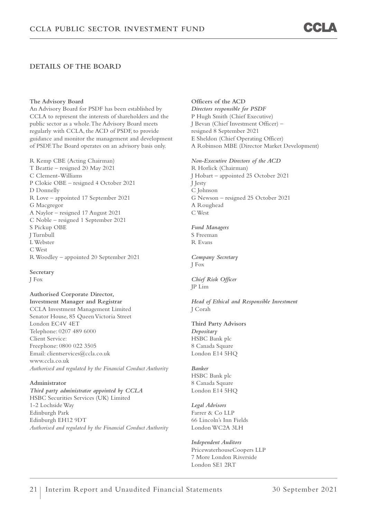#### **DETAILS OF THE BOARD**

**The Advisory Board** 

An Advisory Board for PSDF has been established by CCLA to represent the interests of shareholders and the public sector as a whole. The Advisory Board meets regularly with CCLA, the ACD of PSDF, to provide guidance and monitor the management and development of PSDF. The Board operates on an advisory basis only.

R Kemp CBE (Acting Chairman) T Beattie – resigned 20 May 2021 C Clement-Williams P Clokie OBE – resigned 4 October 2021 D Donnelly R Love – appointed 17 September 2021 G Macgregor A Naylor – resigned 17 August 2021 C Noble – resigned 1 September 2021 S Pickup OBE J Turnbull L Webster C West R Woodley – appointed 20 September 2021

**Secretary**  J Fox

**Authorised Corporate Director, Investment Manager and Registrar**  CCLA Investment Management Limited Senator House, 85 Queen Victoria Street London EC4V 4ET Telephone: 0207 489 6000 Client Service: Freephone: 0800 022 3505 Email: clientservices@ccla.co.uk www.ccla.co.uk *Authorised and regulated by the Financial Conduct Authority* 

#### **Administrator**

*Third party administrator appointed by CCLA*  HSBC Securities Services (UK) Limited 1-2 Lochside Way Edinburgh Park Edinburgh EH12 9DT *Authorised and regulated by the Financial Conduct Authority* **Officers of the ACD**  *Directors responsible for PSDF*  P Hugh Smith (Chief Executive) J Bevan (Chief Investment Officer) – resigned 8 September 2021 E Sheldon (Chief Operating Officer) A Robinson MBE (Director Market Development)

*Non-Executive Directors of the ACD*  R Horlick (Chairman) J Hobart – appointed 25 October 2021 J Jesty C Johnson G Newson – resigned 25 October 2021 A Roughead C West

*Fund Managers*  S Freeman R Evans

*Company Secretary*  J Fox

*Chief Risk Officer*  JP Lim

*Head of Ethical and Responsible Investment*  J Corah

**Third Party Advisors**  *Depositary*  HSBC Bank plc 8 Canada Square London E14 5HQ

*Banker*  HSBC Bank plc 8 Canada Square London E14 5HQ

*Legal Advisors*  Farrer & Co LLP 66 Lincoln's Inn Fields London WC2A 3LH

*Independent Auditors*  PricewaterhouseCoopers LLP 7 More London Riverside London SE1 2RT